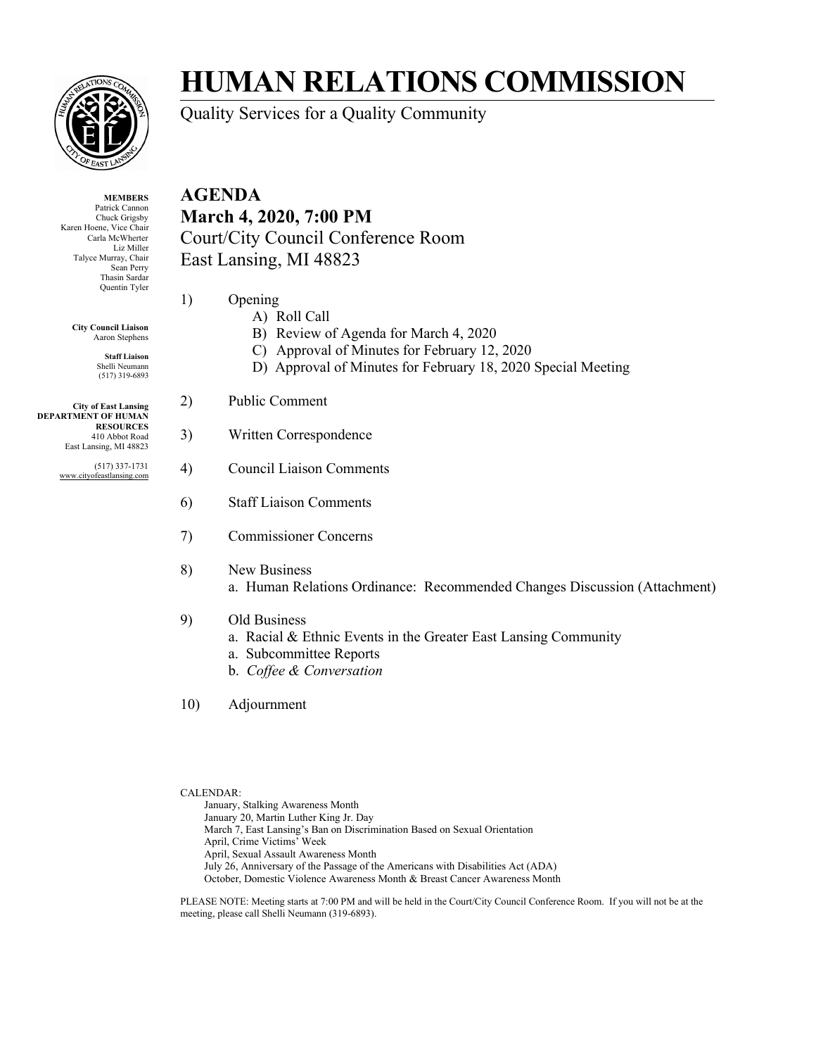

**MEMBERS** Patrick Cannon Chuck Grigsby Karen Hoene, Vice Chair Carla McWherter Liz Miller Talyce Murray, Chair Sean Perry Thasin Sardar Quentin Tyler

> **City Council Liaison** Aaron Stephens

> > **Staff Liaison** Shelli Neumann (517) 319-6893

**City of East Lansing DEPARTMENT OF HUMAN RESOURCES** 410 Abbot Road East Lansing, MI 48823

> (517) 337-1731 www.cityofeastlansing.com

## **HUMAN RELATIONS COMMISSION**

Quality Services for a Quality Community

**AGENDA March 4, 2020, 7:00 PM** Court/City Council Conference Room East Lansing, MI 48823

- 1) Opening
	- A) Roll Call
	- B) Review of Agenda for March 4, 2020
	- C) Approval of Minutes for February 12, 2020
	- D) Approval of Minutes for February 18, 2020 Special Meeting
- 2) Public Comment
- 3) Written Correspondence
- 4) Council Liaison Comments
- 6) Staff Liaison Comments
- 7) Commissioner Concerns
- 8) New Business a. Human Relations Ordinance: Recommended Changes Discussion (Attachment)
- 9) Old Business
	- a. Racial & Ethnic Events in the Greater East Lansing Community
	- a. Subcommittee Reports
		- b. *Coffee & Conversation*
- 10) Adjournment

CALENDAR:

January, Stalking Awareness Month January 20, Martin Luther King Jr. Day March 7, East Lansing's Ban on Discrimination Based on Sexual Orientation April, Crime Victims' Week April, Sexual Assault Awareness Month July 26, Anniversary of the Passage of the Americans with Disabilities Act (ADA) October, Domestic Violence Awareness Month & Breast Cancer Awareness Month

PLEASE NOTE: Meeting starts at 7:00 PM and will be held in the Court/City Council Conference Room. If you will not be at the meeting, please call Shelli Neumann (319-6893).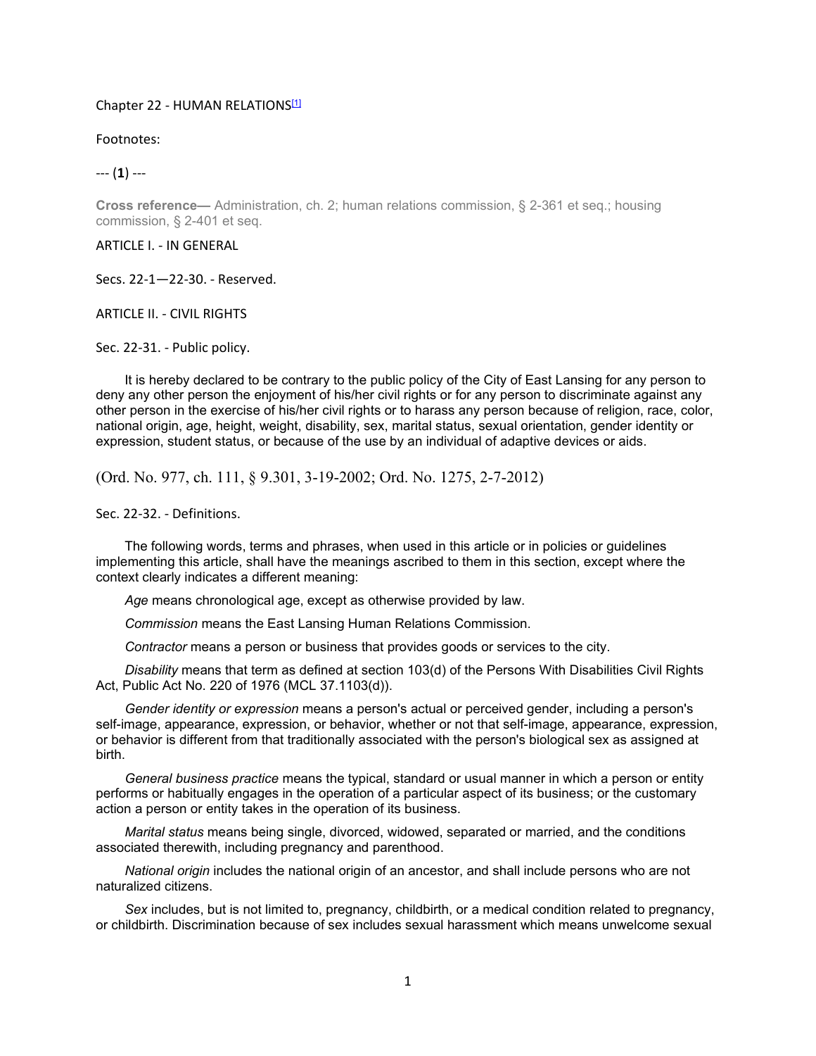#### Chapter 22 - HUMAN RELATIONS[1]

Footnotes:

--- (**1**) ---

**Cross reference—** Administration, ch. 2; human relations commission, § 2-361 et seq.; housing commission, § 2-401 et seq.

#### ARTICLE I. - IN GENERAL

Secs. 22-1—22-30. - Reserved.

ARTICLE II. - CIVIL RIGHTS

Sec. 22-31. - Public policy.

It is hereby declared to be contrary to the public policy of the City of East Lansing for any person to deny any other person the enjoyment of his/her civil rights or for any person to discriminate against any other person in the exercise of his/her civil rights or to harass any person because of religion, race, color, national origin, age, height, weight, disability, sex, marital status, sexual orientation, gender identity or expression, student status, or because of the use by an individual of adaptive devices or aids.

(Ord. No. 977, ch. 111, § 9.301, 3-19-2002; Ord. No. 1275, 2-7-2012)

Sec. 22-32. - Definitions.

The following words, terms and phrases, when used in this article or in policies or guidelines implementing this article, shall have the meanings ascribed to them in this section, except where the context clearly indicates a different meaning:

*Age* means chronological age, except as otherwise provided by law.

*Commission* means the East Lansing Human Relations Commission.

*Contractor* means a person or business that provides goods or services to the city.

*Disability* means that term as defined at section 103(d) of the Persons With Disabilities Civil Rights Act, Public Act No. 220 of 1976 (MCL 37.1103(d)).

*Gender identity or expression* means a person's actual or perceived gender, including a person's self-image, appearance, expression, or behavior, whether or not that self-image, appearance, expression, or behavior is different from that traditionally associated with the person's biological sex as assigned at birth.

*General business practice* means the typical, standard or usual manner in which a person or entity performs or habitually engages in the operation of a particular aspect of its business; or the customary action a person or entity takes in the operation of its business.

*Marital status* means being single, divorced, widowed, separated or married, and the conditions associated therewith, including pregnancy and parenthood.

*National origin* includes the national origin of an ancestor, and shall include persons who are not naturalized citizens.

*Sex* includes, but is not limited to, pregnancy, childbirth, or a medical condition related to pregnancy, or childbirth. Discrimination because of sex includes sexual harassment which means unwelcome sexual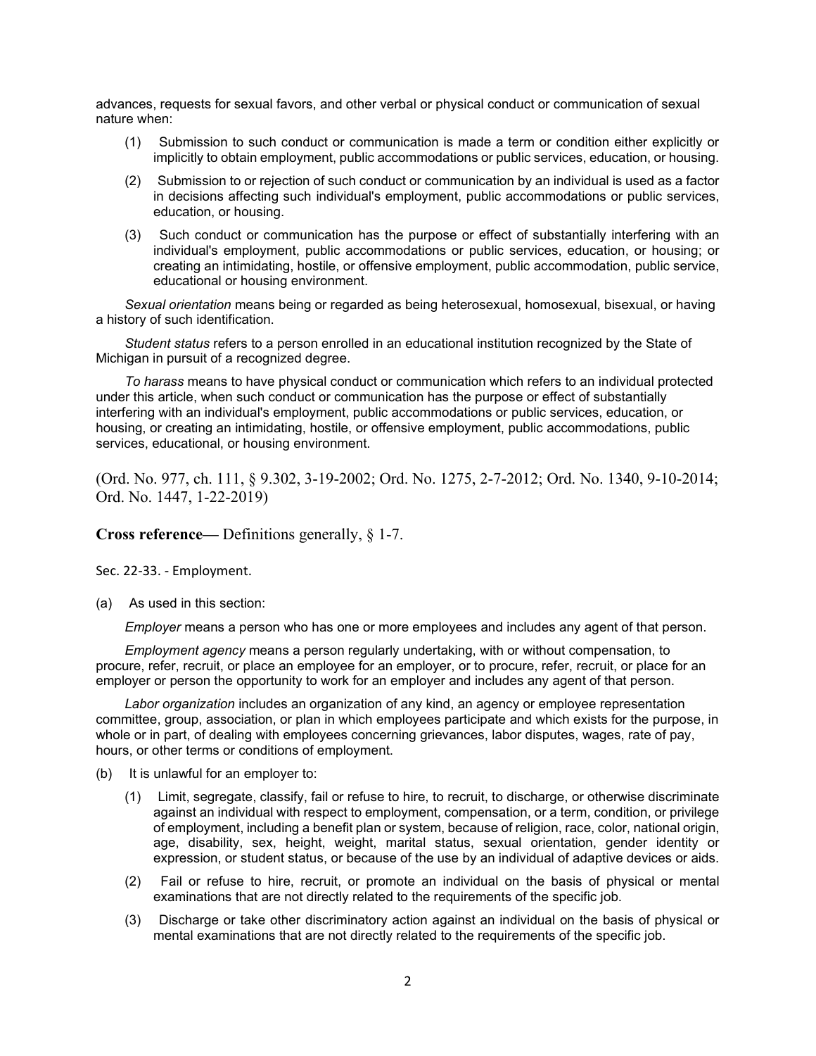advances, requests for sexual favors, and other verbal or physical conduct or communication of sexual nature when:

- (1) Submission to such conduct or communication is made a term or condition either explicitly or implicitly to obtain employment, public accommodations or public services, education, or housing.
- (2) Submission to or rejection of such conduct or communication by an individual is used as a factor in decisions affecting such individual's employment, public accommodations or public services, education, or housing.
- (3) Such conduct or communication has the purpose or effect of substantially interfering with an individual's employment, public accommodations or public services, education, or housing; or creating an intimidating, hostile, or offensive employment, public accommodation, public service, educational or housing environment.

*Sexual orientation* means being or regarded as being heterosexual, homosexual, bisexual, or having a history of such identification.

*Student status* refers to a person enrolled in an educational institution recognized by the State of Michigan in pursuit of a recognized degree.

*To harass* means to have physical conduct or communication which refers to an individual protected under this article, when such conduct or communication has the purpose or effect of substantially interfering with an individual's employment, public accommodations or public services, education, or housing, or creating an intimidating, hostile, or offensive employment, public accommodations, public services, educational, or housing environment.

(Ord. No. 977, ch. 111, § 9.302, 3-19-2002; Ord. No. 1275, 2-7-2012; Ord. No. 1340, 9-10-2014; Ord. No. 1447, 1-22-2019)

**Cross reference—** Definitions generally, § 1-7.

Sec. 22-33. - Employment.

(a) As used in this section:

*Employer* means a person who has one or more employees and includes any agent of that person.

*Employment agency* means a person regularly undertaking, with or without compensation, to procure, refer, recruit, or place an employee for an employer, or to procure, refer, recruit, or place for an employer or person the opportunity to work for an employer and includes any agent of that person.

*Labor organization* includes an organization of any kind, an agency or employee representation committee, group, association, or plan in which employees participate and which exists for the purpose, in whole or in part, of dealing with employees concerning grievances, labor disputes, wages, rate of pay, hours, or other terms or conditions of employment.

- (b) It is unlawful for an employer to:
	- (1) Limit, segregate, classify, fail or refuse to hire, to recruit, to discharge, or otherwise discriminate against an individual with respect to employment, compensation, or a term, condition, or privilege of employment, including a benefit plan or system, because of religion, race, color, national origin, age, disability, sex, height, weight, marital status, sexual orientation, gender identity or expression, or student status, or because of the use by an individual of adaptive devices or aids.
	- (2) Fail or refuse to hire, recruit, or promote an individual on the basis of physical or mental examinations that are not directly related to the requirements of the specific job.
	- (3) Discharge or take other discriminatory action against an individual on the basis of physical or mental examinations that are not directly related to the requirements of the specific job.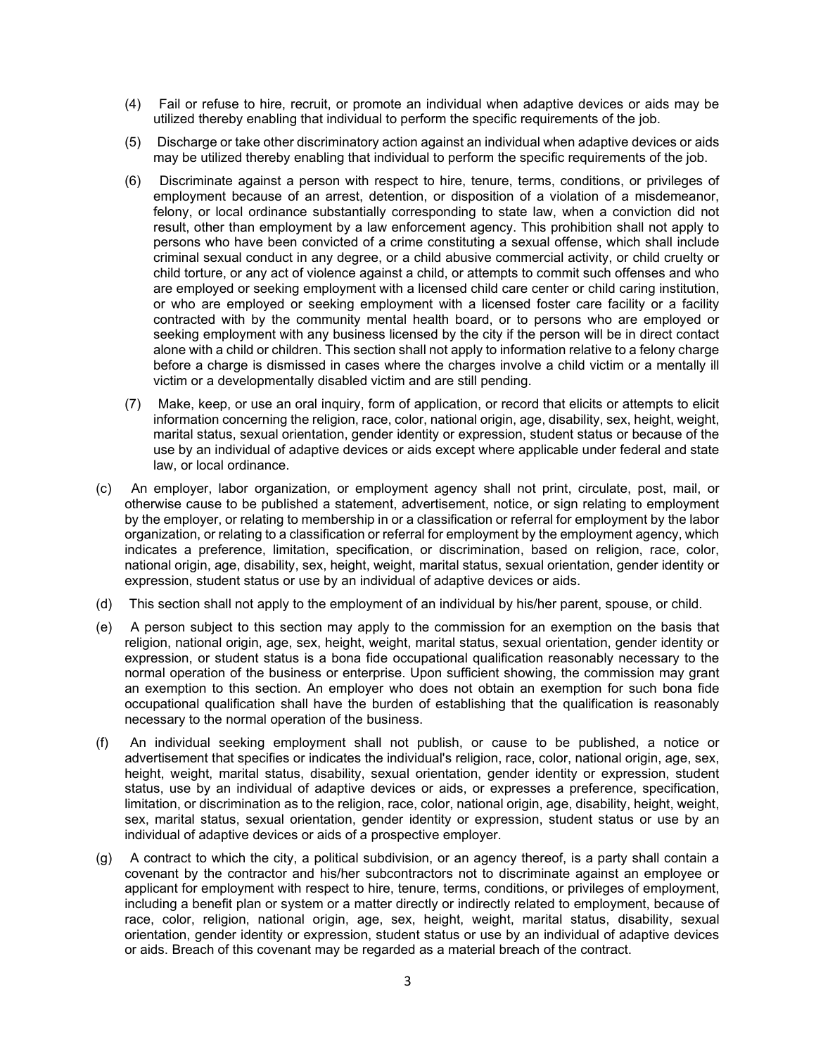- (4) Fail or refuse to hire, recruit, or promote an individual when adaptive devices or aids may be utilized thereby enabling that individual to perform the specific requirements of the job.
- (5) Discharge or take other discriminatory action against an individual when adaptive devices or aids may be utilized thereby enabling that individual to perform the specific requirements of the job.
- (6) Discriminate against a person with respect to hire, tenure, terms, conditions, or privileges of employment because of an arrest, detention, or disposition of a violation of a misdemeanor, felony, or local ordinance substantially corresponding to state law, when a conviction did not result, other than employment by a law enforcement agency. This prohibition shall not apply to persons who have been convicted of a crime constituting a sexual offense, which shall include criminal sexual conduct in any degree, or a child abusive commercial activity, or child cruelty or child torture, or any act of violence against a child, or attempts to commit such offenses and who are employed or seeking employment with a licensed child care center or child caring institution, or who are employed or seeking employment with a licensed foster care facility or a facility contracted with by the community mental health board, or to persons who are employed or seeking employment with any business licensed by the city if the person will be in direct contact alone with a child or children. This section shall not apply to information relative to a felony charge before a charge is dismissed in cases where the charges involve a child victim or a mentally ill victim or a developmentally disabled victim and are still pending.
- (7) Make, keep, or use an oral inquiry, form of application, or record that elicits or attempts to elicit information concerning the religion, race, color, national origin, age, disability, sex, height, weight, marital status, sexual orientation, gender identity or expression, student status or because of the use by an individual of adaptive devices or aids except where applicable under federal and state law, or local ordinance.
- (c) An employer, labor organization, or employment agency shall not print, circulate, post, mail, or otherwise cause to be published a statement, advertisement, notice, or sign relating to employment by the employer, or relating to membership in or a classification or referral for employment by the labor organization, or relating to a classification or referral for employment by the employment agency, which indicates a preference, limitation, specification, or discrimination, based on religion, race, color, national origin, age, disability, sex, height, weight, marital status, sexual orientation, gender identity or expression, student status or use by an individual of adaptive devices or aids.
- (d) This section shall not apply to the employment of an individual by his/her parent, spouse, or child.
- (e) A person subject to this section may apply to the commission for an exemption on the basis that religion, national origin, age, sex, height, weight, marital status, sexual orientation, gender identity or expression, or student status is a bona fide occupational qualification reasonably necessary to the normal operation of the business or enterprise. Upon sufficient showing, the commission may grant an exemption to this section. An employer who does not obtain an exemption for such bona fide occupational qualification shall have the burden of establishing that the qualification is reasonably necessary to the normal operation of the business.
- (f) An individual seeking employment shall not publish, or cause to be published, a notice or advertisement that specifies or indicates the individual's religion, race, color, national origin, age, sex, height, weight, marital status, disability, sexual orientation, gender identity or expression, student status, use by an individual of adaptive devices or aids, or expresses a preference, specification, limitation, or discrimination as to the religion, race, color, national origin, age, disability, height, weight, sex, marital status, sexual orientation, gender identity or expression, student status or use by an individual of adaptive devices or aids of a prospective employer.
- (g) A contract to which the city, a political subdivision, or an agency thereof, is a party shall contain a covenant by the contractor and his/her subcontractors not to discriminate against an employee or applicant for employment with respect to hire, tenure, terms, conditions, or privileges of employment, including a benefit plan or system or a matter directly or indirectly related to employment, because of race, color, religion, national origin, age, sex, height, weight, marital status, disability, sexual orientation, gender identity or expression, student status or use by an individual of adaptive devices or aids. Breach of this covenant may be regarded as a material breach of the contract.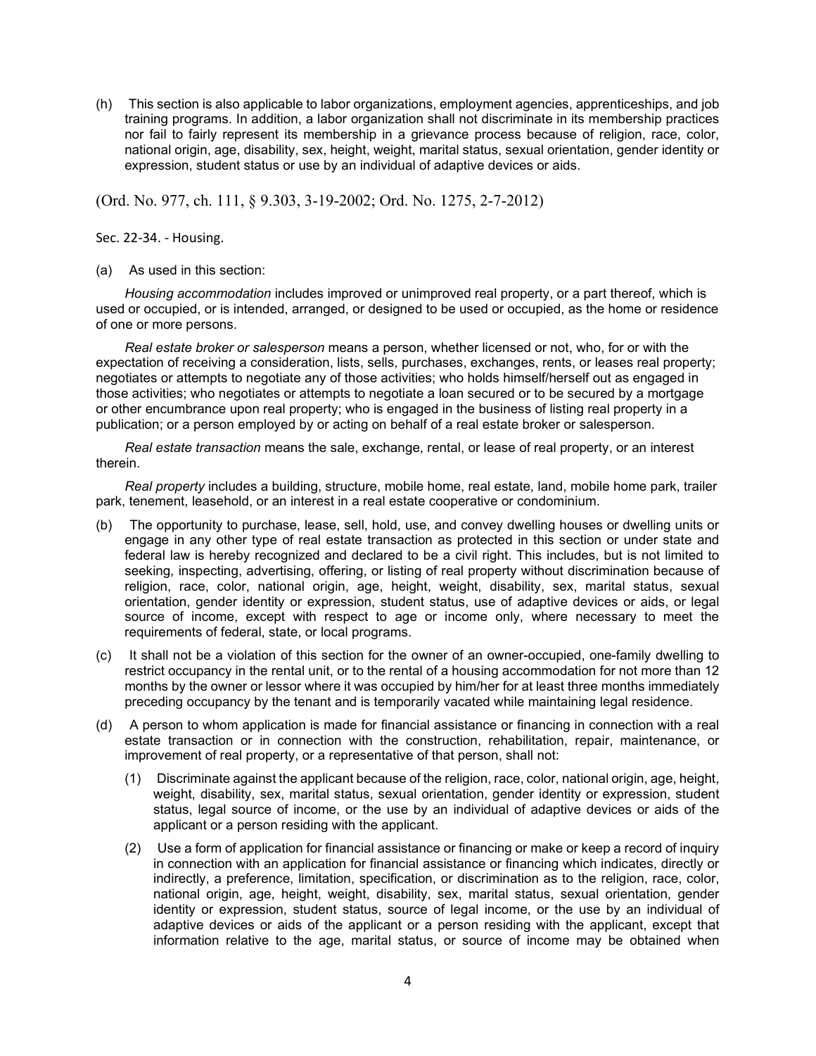(h) This section is also applicable to labor organizations, employment agencies, apprenticeships, and job training programs. In addition, a labor organization shall not discriminate in its membership practices nor fail to fairly represent its membership in a grievance process because of religion, race, color, national origin, age, disability, sex, height, weight, marital status, sexual orientation, gender identity or expression, student status or use by an individual of adaptive devices or aids.

(Ord. No. 977, ch. 111, § 9.303, 3-19-2002; Ord. No. 1275, 2-7-2012)

Sec. 22-34. - Housing.

(a) As used in this section:

*Housing accommodation* includes improved or unimproved real property, or a part thereof, which is used or occupied, or is intended, arranged, or designed to be used or occupied, as the home or residence of one or more persons.

*Real estate broker or salesperson* means a person, whether licensed or not, who, for or with the expectation of receiving a consideration, lists, sells, purchases, exchanges, rents, or leases real property; negotiates or attempts to negotiate any of those activities; who holds himself/herself out as engaged in those activities; who negotiates or attempts to negotiate a loan secured or to be secured by a mortgage or other encumbrance upon real property; who is engaged in the business of listing real property in a publication; or a person employed by or acting on behalf of a real estate broker or salesperson.

*Real estate transaction* means the sale, exchange, rental, or lease of real property, or an interest therein.

*Real property* includes a building, structure, mobile home, real estate, land, mobile home park, trailer park, tenement, leasehold, or an interest in a real estate cooperative or condominium.

- (b) The opportunity to purchase, lease, sell, hold, use, and convey dwelling houses or dwelling units or engage in any other type of real estate transaction as protected in this section or under state and federal law is hereby recognized and declared to be a civil right. This includes, but is not limited to seeking, inspecting, advertising, offering, or listing of real property without discrimination because of religion, race, color, national origin, age, height, weight, disability, sex, marital status, sexual orientation, gender identity or expression, student status, use of adaptive devices or aids, or legal source of income, except with respect to age or income only, where necessary to meet the requirements of federal, state, or local programs.
- (c) It shall not be a violation of this section for the owner of an owner-occupied, one-family dwelling to restrict occupancy in the rental unit, or to the rental of a housing accommodation for not more than 12 months by the owner or lessor where it was occupied by him/her for at least three months immediately preceding occupancy by the tenant and is temporarily vacated while maintaining legal residence.
- (d) A person to whom application is made for financial assistance or financing in connection with a real estate transaction or in connection with the construction, rehabilitation, repair, maintenance, or improvement of real property, or a representative of that person, shall not:
	- (1) Discriminate against the applicant because of the religion, race, color, national origin, age, height, weight, disability, sex, marital status, sexual orientation, gender identity or expression, student status, legal source of income, or the use by an individual of adaptive devices or aids of the applicant or a person residing with the applicant.
	- (2) Use a form of application for financial assistance or financing or make or keep a record of inquiry in connection with an application for financial assistance or financing which indicates, directly or indirectly, a preference, limitation, specification, or discrimination as to the religion, race, color, national origin, age, height, weight, disability, sex, marital status, sexual orientation, gender identity or expression, student status, source of legal income, or the use by an individual of adaptive devices or aids of the applicant or a person residing with the applicant, except that information relative to the age, marital status, or source of income may be obtained when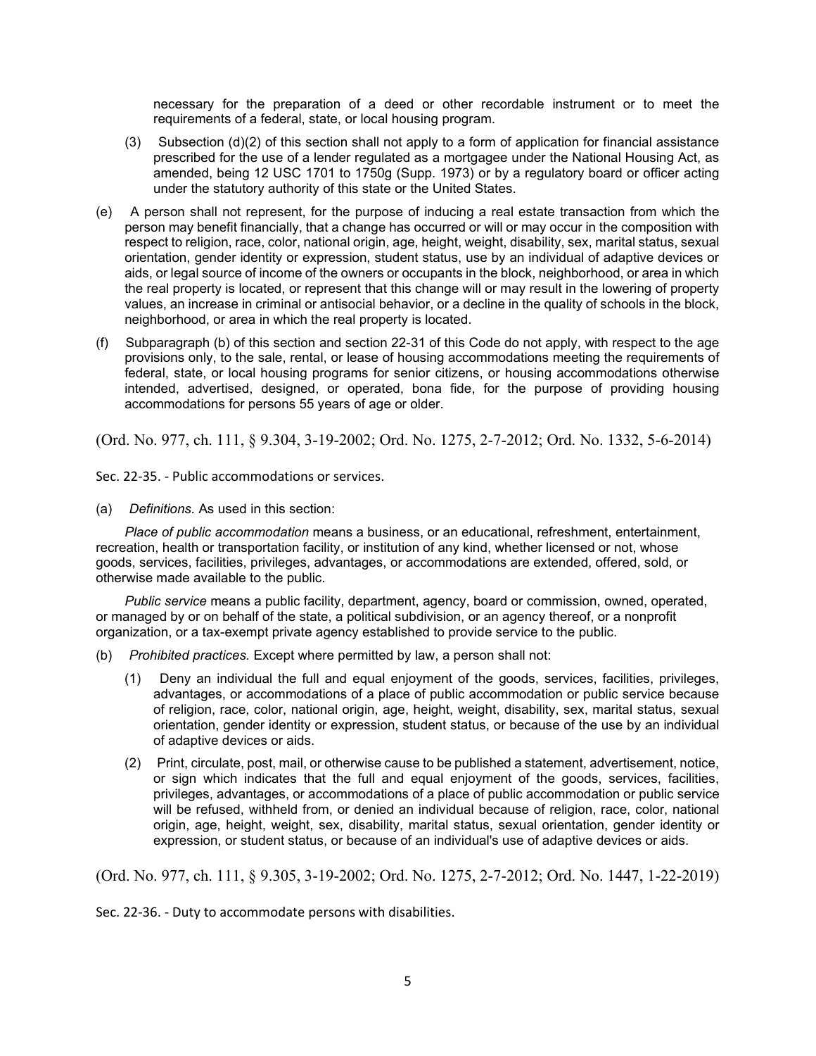necessary for the preparation of a deed or other recordable instrument or to meet the requirements of a federal, state, or local housing program.

- (3) Subsection  $(d)(2)$  of this section shall not apply to a form of application for financial assistance prescribed for the use of a lender regulated as a mortgagee under the National Housing Act, as amended, being 12 USC 1701 to 1750g (Supp. 1973) or by a regulatory board or officer acting under the statutory authority of this state or the United States.
- (e) A person shall not represent, for the purpose of inducing a real estate transaction from which the person may benefit financially, that a change has occurred or will or may occur in the composition with respect to religion, race, color, national origin, age, height, weight, disability, sex, marital status, sexual orientation, gender identity or expression, student status, use by an individual of adaptive devices or aids, or legal source of income of the owners or occupants in the block, neighborhood, or area in which the real property is located, or represent that this change will or may result in the lowering of property values, an increase in criminal or antisocial behavior, or a decline in the quality of schools in the block, neighborhood, or area in which the real property is located.
- (f) Subparagraph (b) of this section and section 22-31 of this Code do not apply, with respect to the age provisions only, to the sale, rental, or lease of housing accommodations meeting the requirements of federal, state, or local housing programs for senior citizens, or housing accommodations otherwise intended, advertised, designed, or operated, bona fide, for the purpose of providing housing accommodations for persons 55 years of age or older.

(Ord. No. 977, ch. 111, § 9.304, 3-19-2002; Ord. No. 1275, 2-7-2012; Ord. No. 1332, 5-6-2014)

Sec. 22-35. - Public accommodations or services.

(a) *Definitions.* As used in this section:

*Place of public accommodation* means a business, or an educational, refreshment, entertainment, recreation, health or transportation facility, or institution of any kind, whether licensed or not, whose goods, services, facilities, privileges, advantages, or accommodations are extended, offered, sold, or otherwise made available to the public.

*Public service* means a public facility, department, agency, board or commission, owned, operated, or managed by or on behalf of the state, a political subdivision, or an agency thereof, or a nonprofit organization, or a tax-exempt private agency established to provide service to the public.

- (b) *Prohibited practices.* Except where permitted by law, a person shall not:
	- (1) Deny an individual the full and equal enjoyment of the goods, services, facilities, privileges, advantages, or accommodations of a place of public accommodation or public service because of religion, race, color, national origin, age, height, weight, disability, sex, marital status, sexual orientation, gender identity or expression, student status, or because of the use by an individual of adaptive devices or aids.
	- (2) Print, circulate, post, mail, or otherwise cause to be published a statement, advertisement, notice, or sign which indicates that the full and equal enjoyment of the goods, services, facilities, privileges, advantages, or accommodations of a place of public accommodation or public service will be refused, withheld from, or denied an individual because of religion, race, color, national origin, age, height, weight, sex, disability, marital status, sexual orientation, gender identity or expression, or student status, or because of an individual's use of adaptive devices or aids.

(Ord. No. 977, ch. 111, § 9.305, 3-19-2002; Ord. No. 1275, 2-7-2012; Ord. No. 1447, 1-22-2019)

Sec. 22-36. - Duty to accommodate persons with disabilities.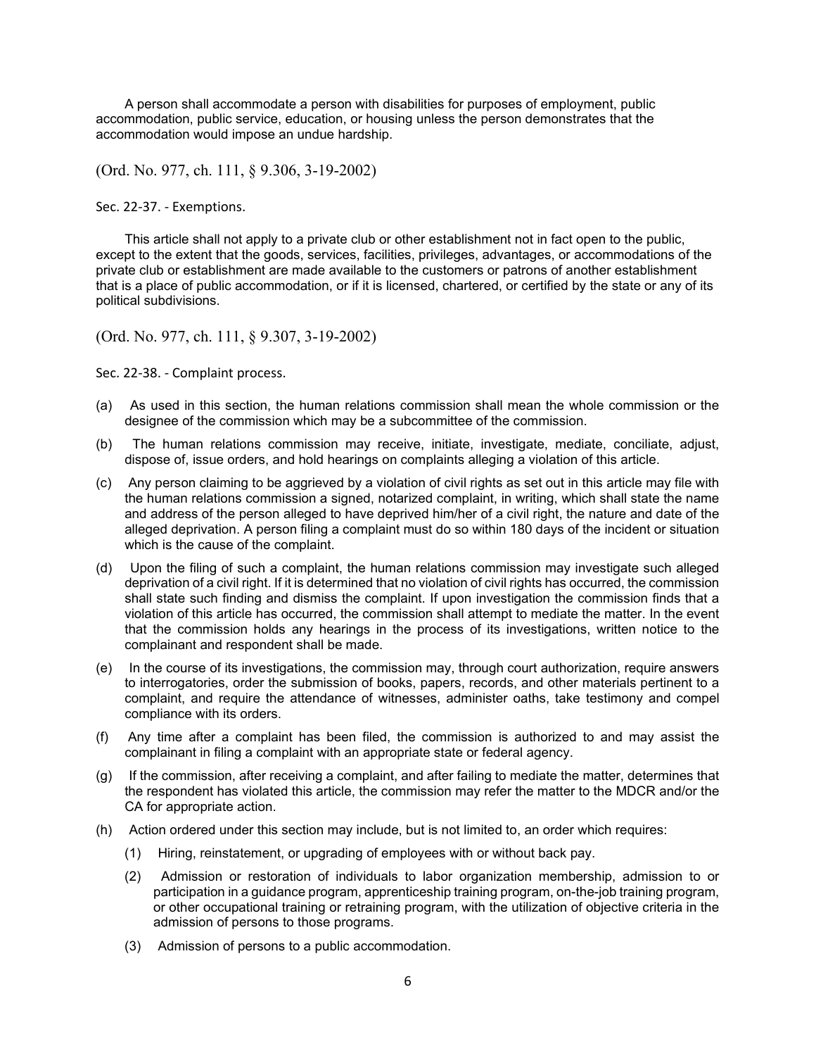A person shall accommodate a person with disabilities for purposes of employment, public accommodation, public service, education, or housing unless the person demonstrates that the accommodation would impose an undue hardship.

(Ord. No. 977, ch. 111, § 9.306, 3-19-2002)

Sec. 22-37. - Exemptions.

This article shall not apply to a private club or other establishment not in fact open to the public, except to the extent that the goods, services, facilities, privileges, advantages, or accommodations of the private club or establishment are made available to the customers or patrons of another establishment that is a place of public accommodation, or if it is licensed, chartered, or certified by the state or any of its political subdivisions.

(Ord. No. 977, ch. 111, § 9.307, 3-19-2002)

Sec. 22-38. - Complaint process.

- (a) As used in this section, the human relations commission shall mean the whole commission or the designee of the commission which may be a subcommittee of the commission.
- (b) The human relations commission may receive, initiate, investigate, mediate, conciliate, adjust, dispose of, issue orders, and hold hearings on complaints alleging a violation of this article.
- (c) Any person claiming to be aggrieved by a violation of civil rights as set out in this article may file with the human relations commission a signed, notarized complaint, in writing, which shall state the name and address of the person alleged to have deprived him/her of a civil right, the nature and date of the alleged deprivation. A person filing a complaint must do so within 180 days of the incident or situation which is the cause of the complaint.
- (d) Upon the filing of such a complaint, the human relations commission may investigate such alleged deprivation of a civil right. If it is determined that no violation of civil rights has occurred, the commission shall state such finding and dismiss the complaint. If upon investigation the commission finds that a violation of this article has occurred, the commission shall attempt to mediate the matter. In the event that the commission holds any hearings in the process of its investigations, written notice to the complainant and respondent shall be made.
- (e) In the course of its investigations, the commission may, through court authorization, require answers to interrogatories, order the submission of books, papers, records, and other materials pertinent to a complaint, and require the attendance of witnesses, administer oaths, take testimony and compel compliance with its orders.
- (f) Any time after a complaint has been filed, the commission is authorized to and may assist the complainant in filing a complaint with an appropriate state or federal agency.
- (g) If the commission, after receiving a complaint, and after failing to mediate the matter, determines that the respondent has violated this article, the commission may refer the matter to the MDCR and/or the CA for appropriate action.
- (h) Action ordered under this section may include, but is not limited to, an order which requires:
	- (1) Hiring, reinstatement, or upgrading of employees with or without back pay.
	- (2) Admission or restoration of individuals to labor organization membership, admission to or participation in a guidance program, apprenticeship training program, on-the-job training program, or other occupational training or retraining program, with the utilization of objective criteria in the admission of persons to those programs.
	- (3) Admission of persons to a public accommodation.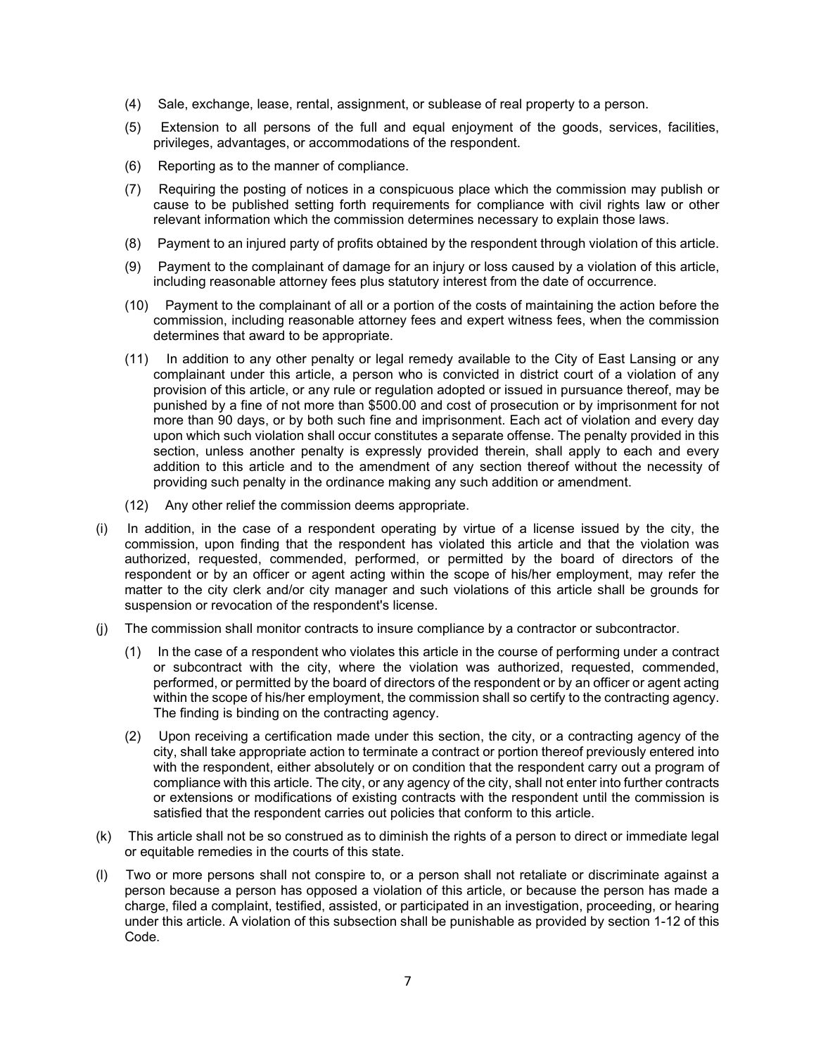- (4) Sale, exchange, lease, rental, assignment, or sublease of real property to a person.
- (5) Extension to all persons of the full and equal enjoyment of the goods, services, facilities, privileges, advantages, or accommodations of the respondent.
- (6) Reporting as to the manner of compliance.
- (7) Requiring the posting of notices in a conspicuous place which the commission may publish or cause to be published setting forth requirements for compliance with civil rights law or other relevant information which the commission determines necessary to explain those laws.
- (8) Payment to an injured party of profits obtained by the respondent through violation of this article.
- (9) Payment to the complainant of damage for an injury or loss caused by a violation of this article, including reasonable attorney fees plus statutory interest from the date of occurrence.
- (10) Payment to the complainant of all or a portion of the costs of maintaining the action before the commission, including reasonable attorney fees and expert witness fees, when the commission determines that award to be appropriate.
- (11) In addition to any other penalty or legal remedy available to the City of East Lansing or any complainant under this article, a person who is convicted in district court of a violation of any provision of this article, or any rule or regulation adopted or issued in pursuance thereof, may be punished by a fine of not more than \$500.00 and cost of prosecution or by imprisonment for not more than 90 days, or by both such fine and imprisonment. Each act of violation and every day upon which such violation shall occur constitutes a separate offense. The penalty provided in this section, unless another penalty is expressly provided therein, shall apply to each and every addition to this article and to the amendment of any section thereof without the necessity of providing such penalty in the ordinance making any such addition or amendment.
- (12) Any other relief the commission deems appropriate.
- (i) In addition, in the case of a respondent operating by virtue of a license issued by the city, the commission, upon finding that the respondent has violated this article and that the violation was authorized, requested, commended, performed, or permitted by the board of directors of the respondent or by an officer or agent acting within the scope of his/her employment, may refer the matter to the city clerk and/or city manager and such violations of this article shall be grounds for suspension or revocation of the respondent's license.
- (j) The commission shall monitor contracts to insure compliance by a contractor or subcontractor.
	- (1) In the case of a respondent who violates this article in the course of performing under a contract or subcontract with the city, where the violation was authorized, requested, commended, performed, or permitted by the board of directors of the respondent or by an officer or agent acting within the scope of his/her employment, the commission shall so certify to the contracting agency. The finding is binding on the contracting agency.
	- (2) Upon receiving a certification made under this section, the city, or a contracting agency of the city, shall take appropriate action to terminate a contract or portion thereof previously entered into with the respondent, either absolutely or on condition that the respondent carry out a program of compliance with this article. The city, or any agency of the city, shall not enter into further contracts or extensions or modifications of existing contracts with the respondent until the commission is satisfied that the respondent carries out policies that conform to this article.
- (k) This article shall not be so construed as to diminish the rights of a person to direct or immediate legal or equitable remedies in the courts of this state.
- (l) Two or more persons shall not conspire to, or a person shall not retaliate or discriminate against a person because a person has opposed a violation of this article, or because the person has made a charge, filed a complaint, testified, assisted, or participated in an investigation, proceeding, or hearing under this article. A violation of this subsection shall be punishable as provided by section 1-12 of this Code.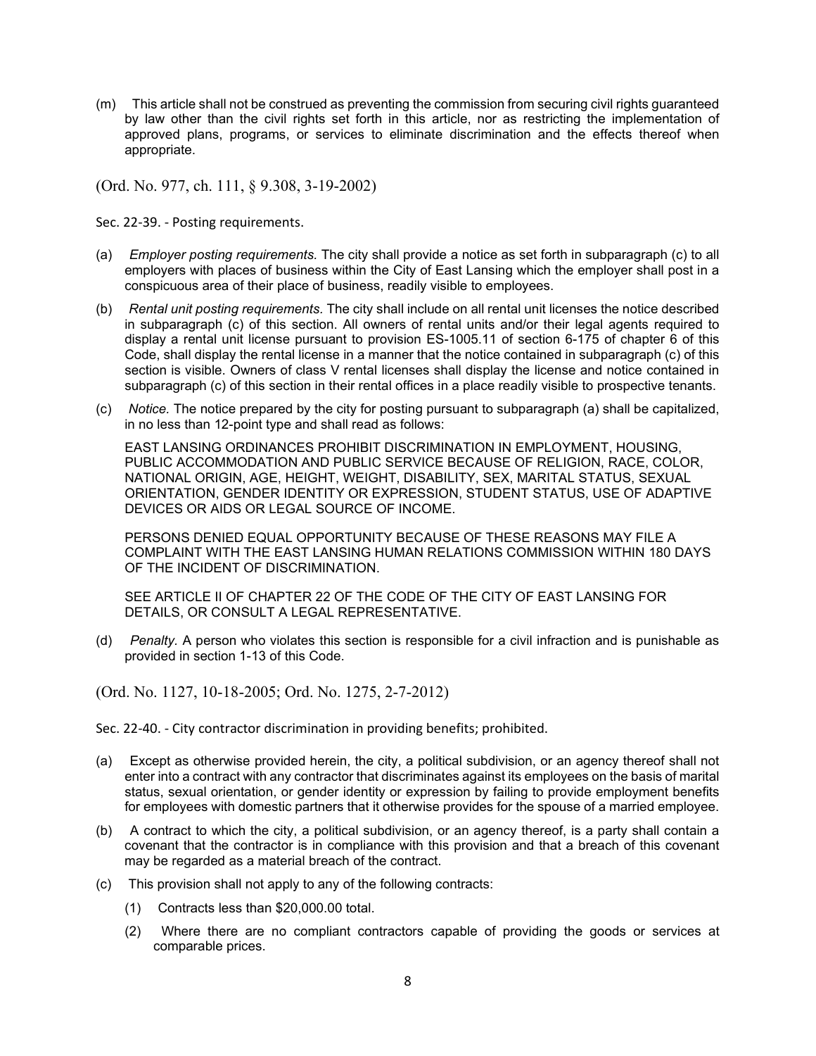(m) This article shall not be construed as preventing the commission from securing civil rights guaranteed by law other than the civil rights set forth in this article, nor as restricting the implementation of approved plans, programs, or services to eliminate discrimination and the effects thereof when appropriate.

(Ord. No. 977, ch. 111, § 9.308, 3-19-2002)

Sec. 22-39. - Posting requirements.

- (a) *Employer posting requirements.* The city shall provide a notice as set forth in subparagraph (c) to all employers with places of business within the City of East Lansing which the employer shall post in a conspicuous area of their place of business, readily visible to employees.
- (b) *Rental unit posting requirements.* The city shall include on all rental unit licenses the notice described in subparagraph (c) of this section. All owners of rental units and/or their legal agents required to display a rental unit license pursuant to provision ES-1005.11 of section 6-175 of chapter 6 of this Code, shall display the rental license in a manner that the notice contained in subparagraph (c) of this section is visible. Owners of class V rental licenses shall display the license and notice contained in subparagraph (c) of this section in their rental offices in a place readily visible to prospective tenants.
- (c) *Notice.* The notice prepared by the city for posting pursuant to subparagraph (a) shall be capitalized, in no less than 12-point type and shall read as follows:

EAST LANSING ORDINANCES PROHIBIT DISCRIMINATION IN EMPLOYMENT, HOUSING, PUBLIC ACCOMMODATION AND PUBLIC SERVICE BECAUSE OF RELIGION, RACE, COLOR, NATIONAL ORIGIN, AGE, HEIGHT, WEIGHT, DISABILITY, SEX, MARITAL STATUS, SEXUAL ORIENTATION, GENDER IDENTITY OR EXPRESSION, STUDENT STATUS, USE OF ADAPTIVE DEVICES OR AIDS OR LEGAL SOURCE OF INCOME.

PERSONS DENIED EQUAL OPPORTUNITY BECAUSE OF THESE REASONS MAY FILE A COMPLAINT WITH THE EAST LANSING HUMAN RELATIONS COMMISSION WITHIN 180 DAYS OF THE INCIDENT OF DISCRIMINATION.

SEE ARTICLE II OF CHAPTER 22 OF THE CODE OF THE CITY OF EAST LANSING FOR DETAILS, OR CONSULT A LEGAL REPRESENTATIVE.

(d) *Penalty.* A person who violates this section is responsible for a civil infraction and is punishable as provided in section 1-13 of this Code.

(Ord. No. 1127, 10-18-2005; Ord. No. 1275, 2-7-2012)

Sec. 22-40. - City contractor discrimination in providing benefits; prohibited.

- (a) Except as otherwise provided herein, the city, a political subdivision, or an agency thereof shall not enter into a contract with any contractor that discriminates against its employees on the basis of marital status, sexual orientation, or gender identity or expression by failing to provide employment benefits for employees with domestic partners that it otherwise provides for the spouse of a married employee.
- (b) A contract to which the city, a political subdivision, or an agency thereof, is a party shall contain a covenant that the contractor is in compliance with this provision and that a breach of this covenant may be regarded as a material breach of the contract.
- (c) This provision shall not apply to any of the following contracts:
	- (1) Contracts less than \$20,000.00 total.
	- (2) Where there are no compliant contractors capable of providing the goods or services at comparable prices.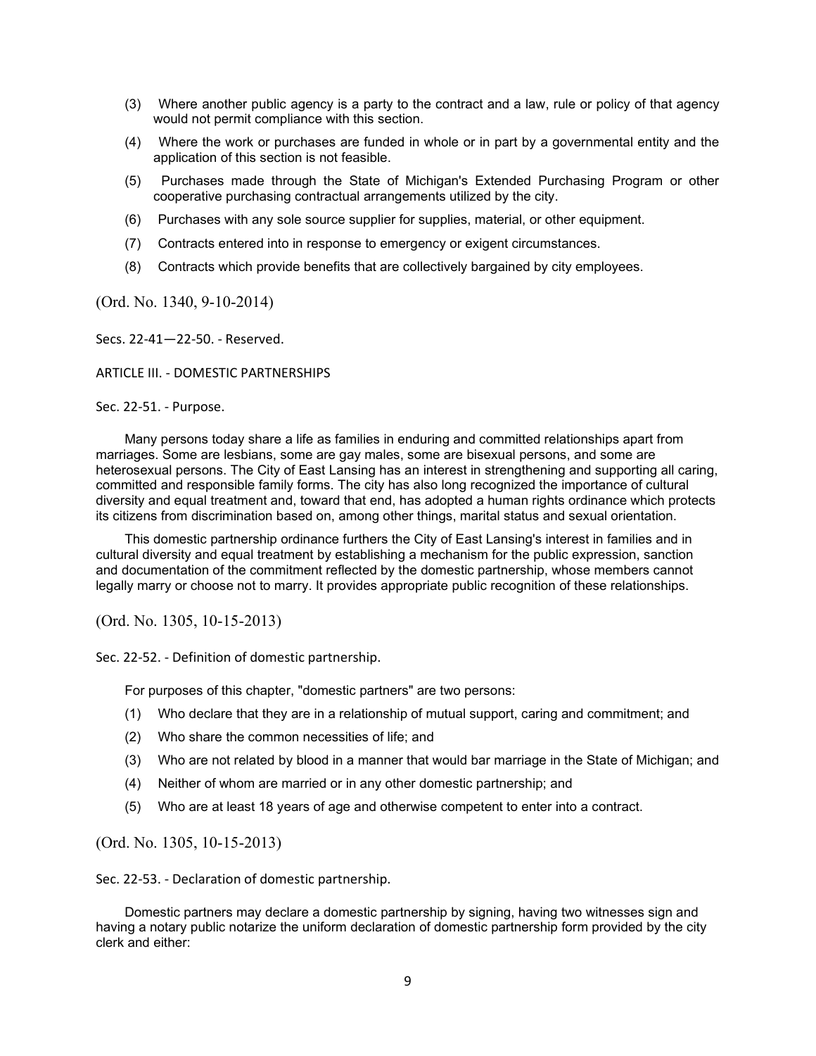- (3) Where another public agency is a party to the contract and a law, rule or policy of that agency would not permit compliance with this section.
- (4) Where the work or purchases are funded in whole or in part by a governmental entity and the application of this section is not feasible.
- (5) Purchases made through the State of Michigan's Extended Purchasing Program or other cooperative purchasing contractual arrangements utilized by the city.
- (6) Purchases with any sole source supplier for supplies, material, or other equipment.
- (7) Contracts entered into in response to emergency or exigent circumstances.
- (8) Contracts which provide benefits that are collectively bargained by city employees.

(Ord. No. 1340, 9-10-2014)

Secs. 22-41—22-50. - Reserved.

#### ARTICLE III. - DOMESTIC PARTNERSHIPS

#### Sec. 22-51. - Purpose.

Many persons today share a life as families in enduring and committed relationships apart from marriages. Some are lesbians, some are gay males, some are bisexual persons, and some are heterosexual persons. The City of East Lansing has an interest in strengthening and supporting all caring, committed and responsible family forms. The city has also long recognized the importance of cultural diversity and equal treatment and, toward that end, has adopted a human rights ordinance which protects its citizens from discrimination based on, among other things, marital status and sexual orientation.

This domestic partnership ordinance furthers the City of East Lansing's interest in families and in cultural diversity and equal treatment by establishing a mechanism for the public expression, sanction and documentation of the commitment reflected by the domestic partnership, whose members cannot legally marry or choose not to marry. It provides appropriate public recognition of these relationships.

(Ord. No. 1305, 10-15-2013)

Sec. 22-52. - Definition of domestic partnership.

For purposes of this chapter, "domestic partners" are two persons:

- (1) Who declare that they are in a relationship of mutual support, caring and commitment; and
- (2) Who share the common necessities of life; and
- (3) Who are not related by blood in a manner that would bar marriage in the State of Michigan; and
- (4) Neither of whom are married or in any other domestic partnership; and
- (5) Who are at least 18 years of age and otherwise competent to enter into a contract.

(Ord. No. 1305, 10-15-2013)

Sec. 22-53. - Declaration of domestic partnership.

Domestic partners may declare a domestic partnership by signing, having two witnesses sign and having a notary public notarize the uniform declaration of domestic partnership form provided by the city clerk and either: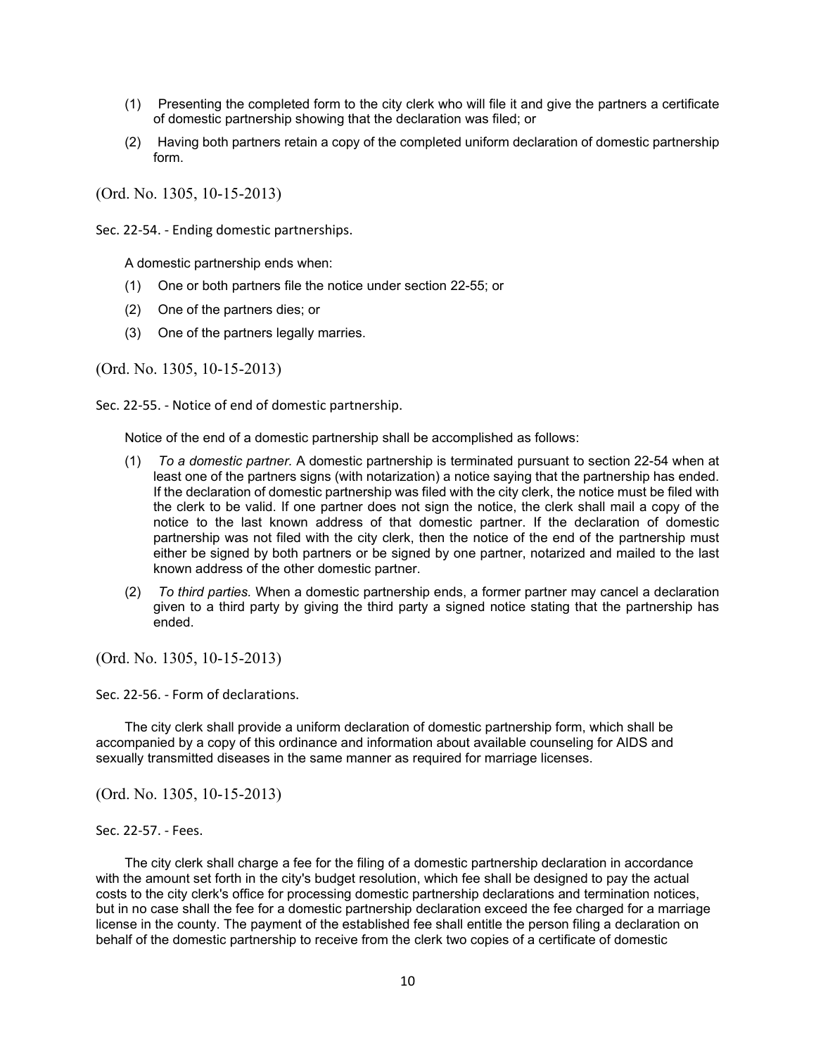- (1) Presenting the completed form to the city clerk who will file it and give the partners a certificate of domestic partnership showing that the declaration was filed; or
- (2) Having both partners retain a copy of the completed uniform declaration of domestic partnership form.

(Ord. No. 1305, 10-15-2013)

Sec. 22-54. - Ending domestic partnerships.

A domestic partnership ends when:

- (1) One or both partners file the notice under section 22-55; or
- (2) One of the partners dies; or
- (3) One of the partners legally marries.

(Ord. No. 1305, 10-15-2013)

Sec. 22-55. - Notice of end of domestic partnership.

Notice of the end of a domestic partnership shall be accomplished as follows:

- (1) *To a domestic partner.* A domestic partnership is terminated pursuant to section 22-54 when at least one of the partners signs (with notarization) a notice saying that the partnership has ended. If the declaration of domestic partnership was filed with the city clerk, the notice must be filed with the clerk to be valid. If one partner does not sign the notice, the clerk shall mail a copy of the notice to the last known address of that domestic partner. If the declaration of domestic partnership was not filed with the city clerk, then the notice of the end of the partnership must either be signed by both partners or be signed by one partner, notarized and mailed to the last known address of the other domestic partner.
- (2) *To third parties.* When a domestic partnership ends, a former partner may cancel a declaration given to a third party by giving the third party a signed notice stating that the partnership has ended.

(Ord. No. 1305, 10-15-2013)

Sec. 22-56. - Form of declarations.

The city clerk shall provide a uniform declaration of domestic partnership form, which shall be accompanied by a copy of this ordinance and information about available counseling for AIDS and sexually transmitted diseases in the same manner as required for marriage licenses.

(Ord. No. 1305, 10-15-2013)

The city clerk shall charge a fee for the filing of a domestic partnership declaration in accordance with the amount set forth in the city's budget resolution, which fee shall be designed to pay the actual costs to the city clerk's office for processing domestic partnership declarations and termination notices, but in no case shall the fee for a domestic partnership declaration exceed the fee charged for a marriage license in the county. The payment of the established fee shall entitle the person filing a declaration on behalf of the domestic partnership to receive from the clerk two copies of a certificate of domestic

Sec. 22-57. - Fees.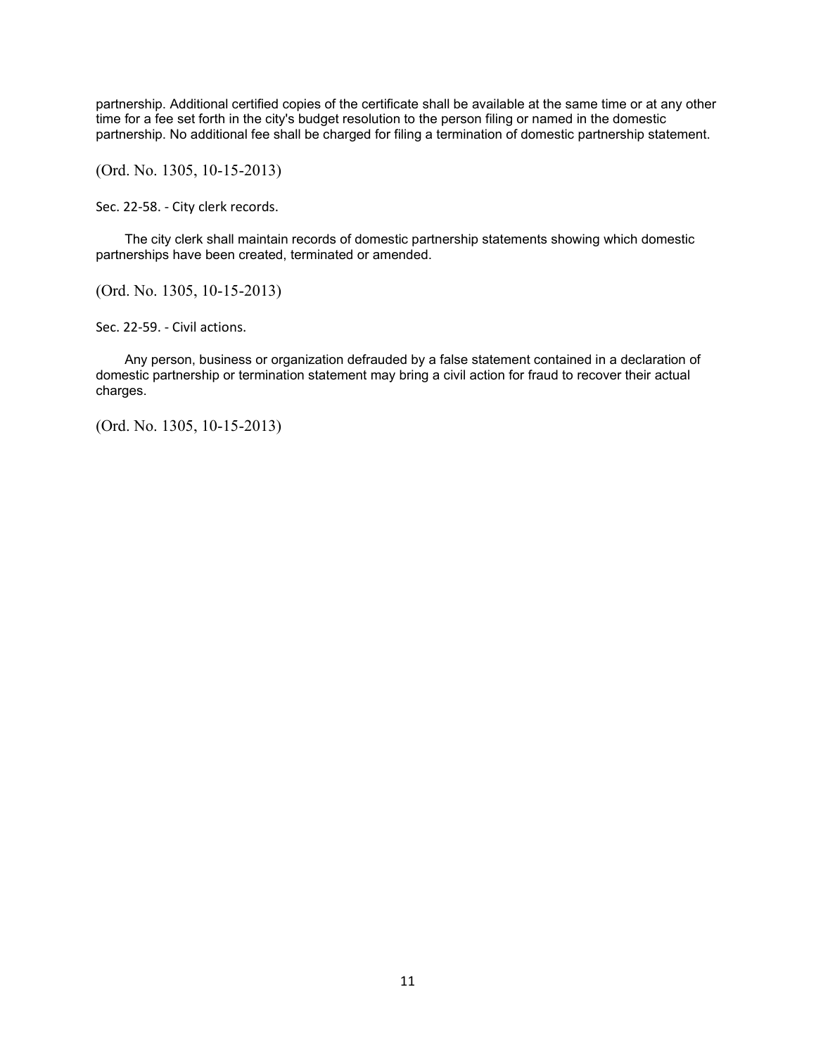partnership. Additional certified copies of the certificate shall be available at the same time or at any other time for a fee set forth in the city's budget resolution to the person filing or named in the domestic partnership. No additional fee shall be charged for filing a termination of domestic partnership statement.

(Ord. No. 1305, 10-15-2013)

Sec. 22-58. - City clerk records.

The city clerk shall maintain records of domestic partnership statements showing which domestic partnerships have been created, terminated or amended.

(Ord. No. 1305, 10-15-2013)

Sec. 22-59. - Civil actions.

Any person, business or organization defrauded by a false statement contained in a declaration of domestic partnership or termination statement may bring a civil action for fraud to recover their actual charges.

(Ord. No. 1305, 10-15-2013)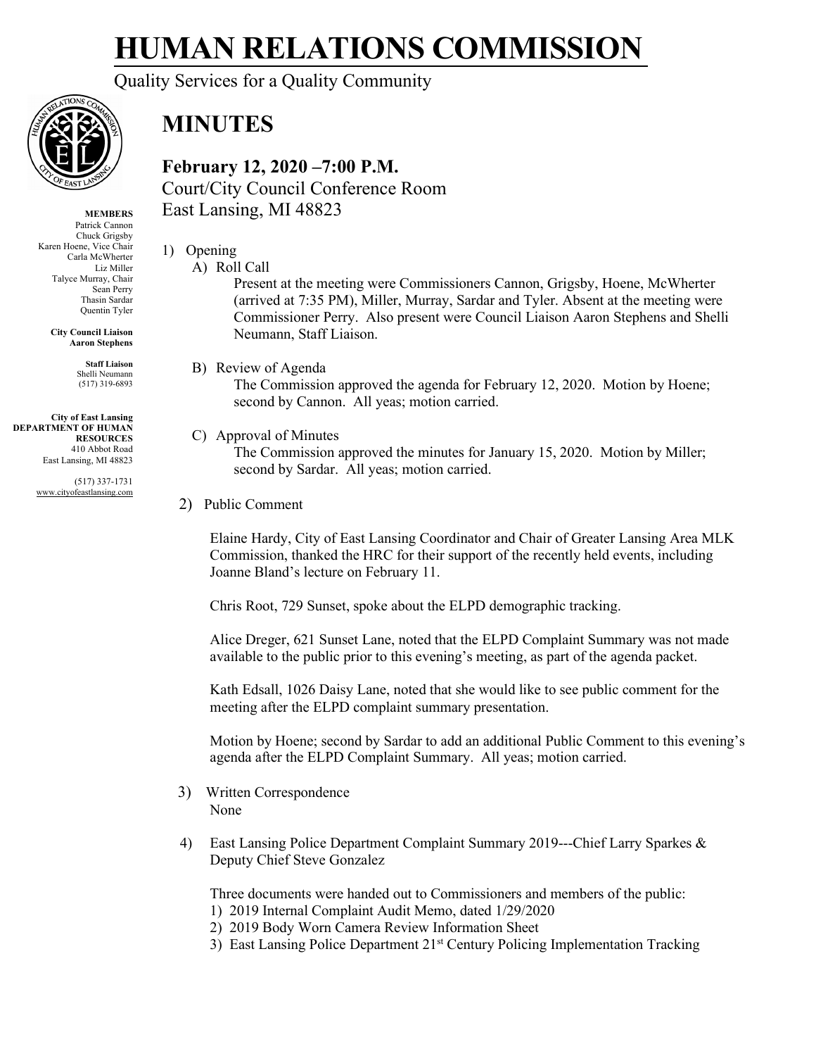Quality Services for a Quality Community



## **MINUTES**

**February 12, 2020 –7:00 P.M.** Court/City Council Conference Room East Lansing, MI 48823

- 1) Opening
	- A) Roll Call

Present at the meeting were Commissioners Cannon, Grigsby, Hoene, McWherter (arrived at 7:35 PM), Miller, Murray, Sardar and Tyler. Absent at the meeting were Commissioner Perry. Also present were Council Liaison Aaron Stephens and Shelli Neumann, Staff Liaison.

B) Review of Agenda

The Commission approved the agenda for February 12, 2020. Motion by Hoene; second by Cannon. All yeas; motion carried.

C) Approval of Minutes

The Commission approved the minutes for January 15, 2020. Motion by Miller; second by Sardar. All yeas; motion carried.

2) Public Comment

Elaine Hardy, City of East Lansing Coordinator and Chair of Greater Lansing Area MLK Commission, thanked the HRC for their support of the recently held events, including Joanne Bland's lecture on February 11.

Chris Root, 729 Sunset, spoke about the ELPD demographic tracking.

Alice Dreger, 621 Sunset Lane, noted that the ELPD Complaint Summary was not made available to the public prior to this evening's meeting, as part of the agenda packet.

Kath Edsall, 1026 Daisy Lane, noted that she would like to see public comment for the meeting after the ELPD complaint summary presentation.

Motion by Hoene; second by Sardar to add an additional Public Comment to this evening's agenda after the ELPD Complaint Summary. All yeas; motion carried.

- 3) Written Correspondence None
- 4) East Lansing Police Department Complaint Summary 2019---Chief Larry Sparkes & Deputy Chief Steve Gonzalez

Three documents were handed out to Commissioners and members of the public:

- 1) 2019 Internal Complaint Audit Memo, dated 1/29/2020
- 2) 2019 Body Worn Camera Review Information Sheet
- 3) East Lansing Police Department 21<sup>st</sup> Century Policing Implementation Tracking

**MEMBERS**

Patrick Cannon Chuck Grigsby Karen Hoene, Vice Chair Carla McWherter Liz Miller Talyce Murray, Chair Sean Perry Thasin Sardar Quentin Tyler

> **City Council Liaison Aaron Stephens**

> > **Staff Liaison** Shelli Neumann (517) 319-6893

**City of East Lansing DEPARTMENT OF HUMAN RESOURCES** 410 Abbot Road East Lansing, MI 48823

> (517) 337-1731 www.cityofeastlansing.com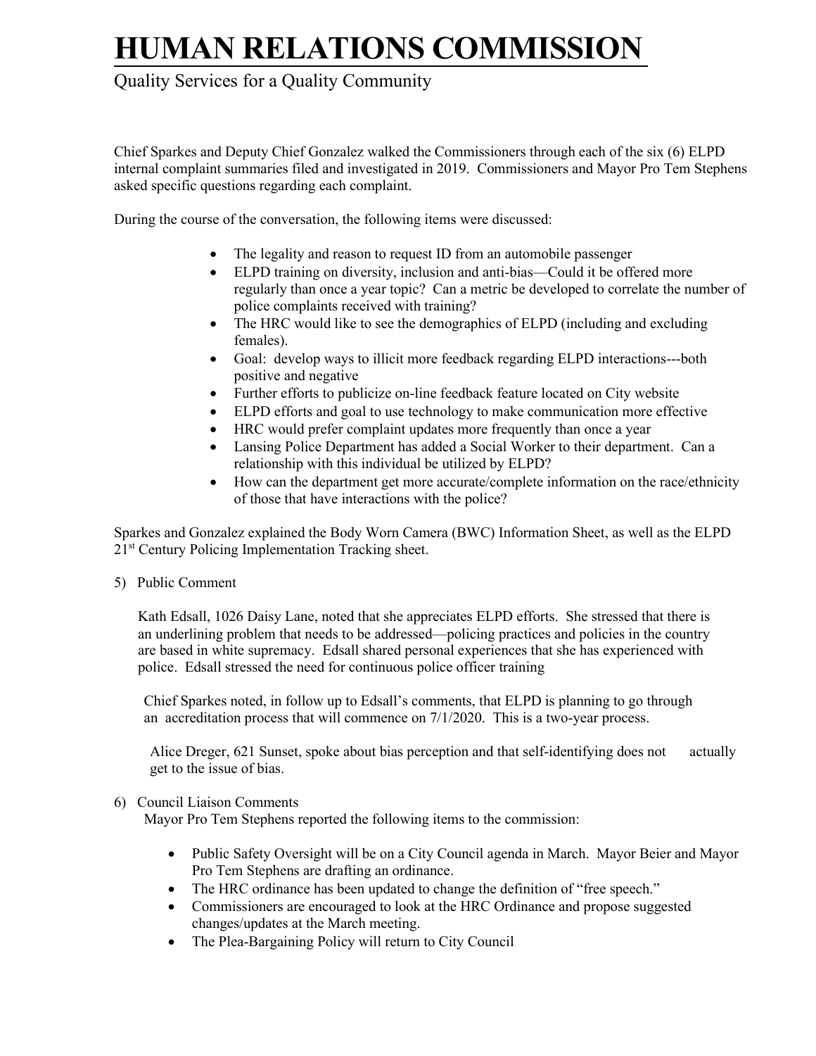### Quality Services for a Quality Community

Chief Sparkes and Deputy Chief Gonzalez walked the Commissioners through each of the six (6) ELPD internal complaint summaries filed and investigated in 2019. Commissioners and Mayor Pro Tem Stephens asked specific questions regarding each complaint.

During the course of the conversation, the following items were discussed:

- The legality and reason to request ID from an automobile passenger
- ELPD training on diversity, inclusion and anti-bias—Could it be offered more regularly than once a year topic? Can a metric be developed to correlate the number of police complaints received with training?
- The HRC would like to see the demographics of ELPD (including and excluding females).
- Goal: develop ways to illicit more feedback regarding ELPD interactions---both positive and negative
- Further efforts to publicize on-line feedback feature located on City website
- ELPD efforts and goal to use technology to make communication more effective
- HRC would prefer complaint updates more frequently than once a year
- Lansing Police Department has added a Social Worker to their department. Can a relationship with this individual be utilized by ELPD?
- How can the department get more accurate/complete information on the race/ethnicity of those that have interactions with the police?

Sparkes and Gonzalez explained the Body Worn Camera (BWC) Information Sheet, as well as the ELPD 21<sup>st</sup> Century Policing Implementation Tracking sheet.

5) Public Comment

Kath Edsall, 1026 Daisy Lane, noted that she appreciates ELPD efforts. She stressed that there is an underlining problem that needs to be addressed—policing practices and policies in the country are based in white supremacy. Edsall shared personal experiences that she has experienced with police. Edsall stressed the need for continuous police officer training

Chief Sparkes noted, in follow up to Edsall's comments, that ELPD is planning to go through an accreditation process that will commence on 7/1/2020. This is a two-year process.

Alice Dreger, 621 Sunset, spoke about bias perception and that self-identifying does not actually get to the issue of bias.

#### 6) Council Liaison Comments

Mayor Pro Tem Stephens reported the following items to the commission:

- Public Safety Oversight will be on a City Council agenda in March. Mayor Beier and Mayor Pro Tem Stephens are drafting an ordinance.
- The HRC ordinance has been updated to change the definition of "free speech."
- Commissioners are encouraged to look at the HRC Ordinance and propose suggested changes/updates at the March meeting.
- The Plea-Bargaining Policy will return to City Council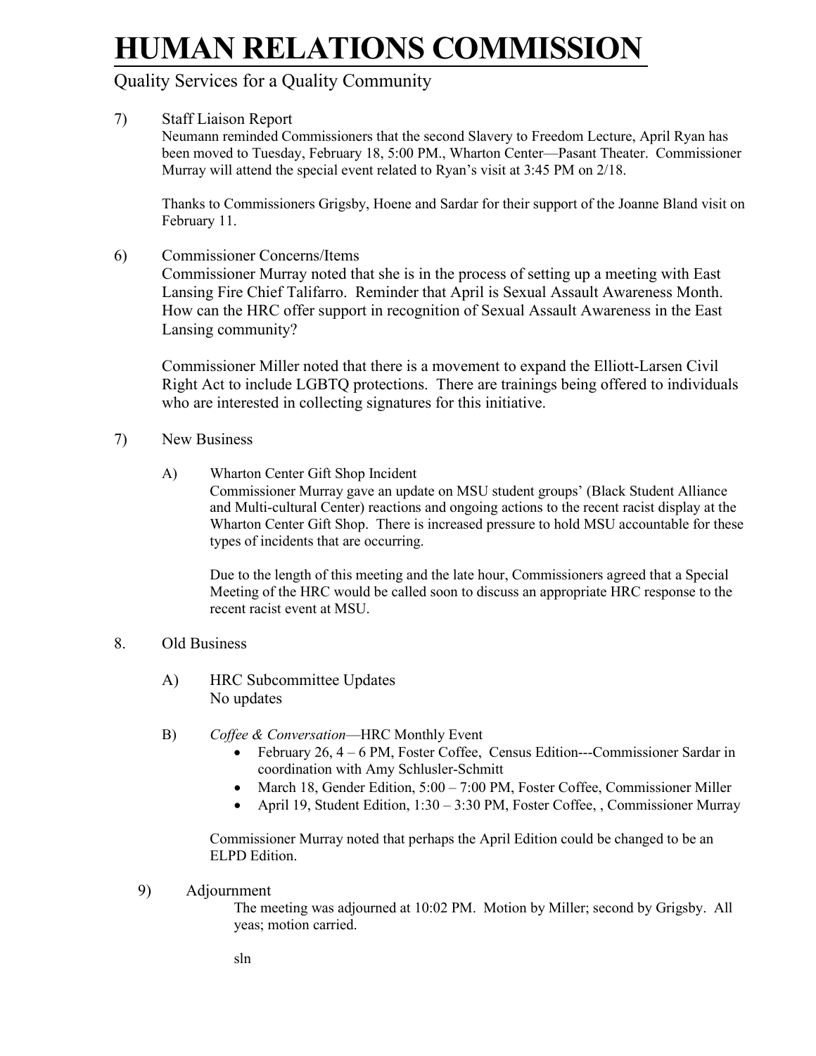### Quality Services for a Quality Community

### 7) Staff Liaison Report

Neumann reminded Commissioners that the second Slavery to Freedom Lecture, April Ryan has been moved to Tuesday, February 18, 5:00 PM., Wharton Center—Pasant Theater. Commissioner Murray will attend the special event related to Ryan's visit at 3:45 PM on 2/18.

Thanks to Commissioners Grigsby, Hoene and Sardar for their support of the Joanne Bland visit on February 11.

6) Commissioner Concerns/Items

Commissioner Murray noted that she is in the process of setting up a meeting with East Lansing Fire Chief Talifarro. Reminder that April is Sexual Assault Awareness Month. How can the HRC offer support in recognition of Sexual Assault Awareness in the East Lansing community?

Commissioner Miller noted that there is a movement to expand the Elliott-Larsen Civil Right Act to include LGBTQ protections. There are trainings being offered to individuals who are interested in collecting signatures for this initiative.

- 7) New Business
	- A) Wharton Center Gift Shop Incident

Commissioner Murray gave an update on MSU student groups' (Black Student Alliance and Multi-cultural Center) reactions and ongoing actions to the recent racist display at the Wharton Center Gift Shop. There is increased pressure to hold MSU accountable for these types of incidents that are occurring.

Due to the length of this meeting and the late hour, Commissioners agreed that a Special Meeting of the HRC would be called soon to discuss an appropriate HRC response to the recent racist event at MSU.

#### 8. Old Business

- A) HRC Subcommittee Updates No updates
- B) *Coffee & Conversation*—HRC Monthly Event
	- February 26, 4 6 PM, Foster Coffee, Census Edition---Commissioner Sardar in coordination with Amy Schlusler-Schmitt
	- March 18, Gender Edition, 5:00 7:00 PM, Foster Coffee, Commissioner Miller
	- April 19, Student Edition,  $1:30 3:30$  PM, Foster Coffee, , Commissioner Murray

Commissioner Murray noted that perhaps the April Edition could be changed to be an ELPD Edition.

9) Adjournment

The meeting was adjourned at 10:02 PM. Motion by Miller; second by Grigsby. All yeas; motion carried.

sln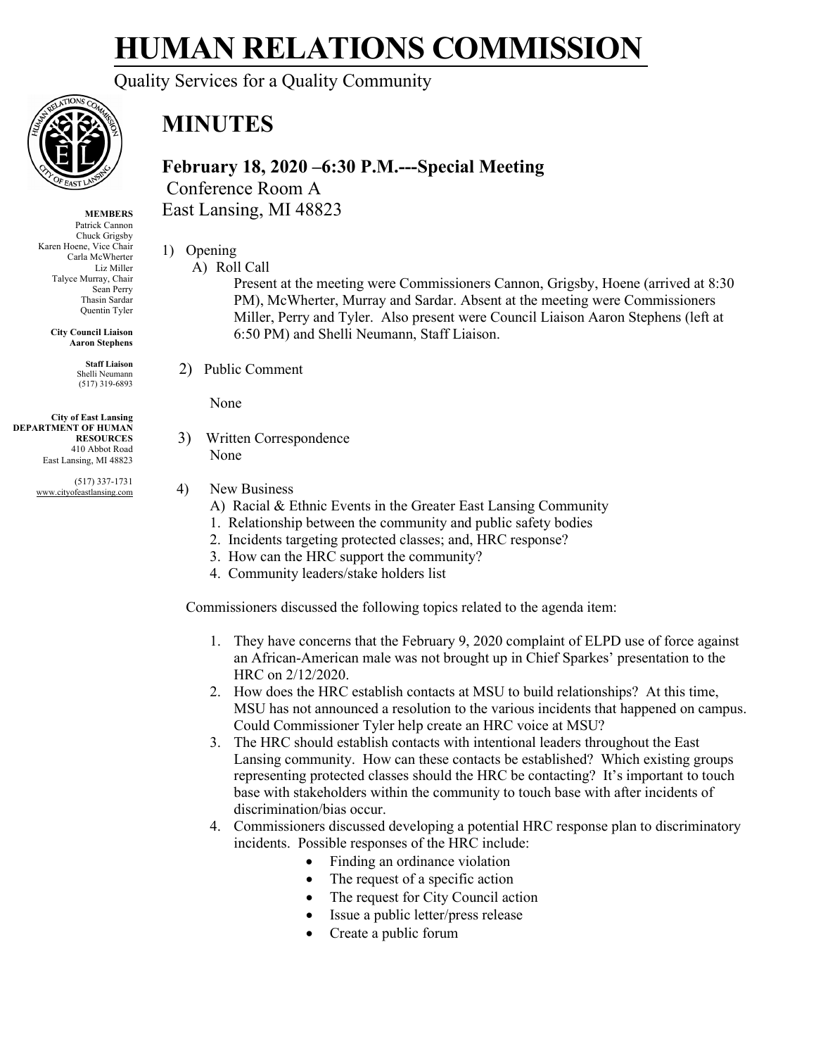Quality Services for a Quality Community



### **MINUTES**

**February 18, 2020 –6:30 P.M.---Special Meeting** Conference Room A East Lansing, MI 48823

- 1) Opening
	- A) Roll Call

Present at the meeting were Commissioners Cannon, Grigsby, Hoene (arrived at 8:30 PM), McWherter, Murray and Sardar. Absent at the meeting were Commissioners Miller, Perry and Tyler. Also present were Council Liaison Aaron Stephens (left at 6:50 PM) and Shelli Neumann, Staff Liaison.

2) Public Comment

None

3) Written Correspondence

None

- 4) New Business
	- A) Racial & Ethnic Events in the Greater East Lansing Community
	- 1. Relationship between the community and public safety bodies
	- 2. Incidents targeting protected classes; and, HRC response?
	- 3. How can the HRC support the community?
	- 4. Community leaders/stake holders list

Commissioners discussed the following topics related to the agenda item:

- 1. They have concerns that the February 9, 2020 complaint of ELPD use of force against an African-American male was not brought up in Chief Sparkes' presentation to the HRC on 2/12/2020.
- 2. How does the HRC establish contacts at MSU to build relationships? At this time, MSU has not announced a resolution to the various incidents that happened on campus. Could Commissioner Tyler help create an HRC voice at MSU?
- 3. The HRC should establish contacts with intentional leaders throughout the East Lansing community. How can these contacts be established? Which existing groups representing protected classes should the HRC be contacting? It's important to touch base with stakeholders within the community to touch base with after incidents of discrimination/bias occur.
- 4. Commissioners discussed developing a potential HRC response plan to discriminatory incidents. Possible responses of the HRC include:
	- Finding an ordinance violation
	- The request of a specific action
	- The request for City Council action
	- Issue a public letter/press release
	- Create a public forum

Chuck Grigsby Karen Hoene, Vice Chair

**MEMBERS** Patrick Cannon

Carla McWherter Liz Miller Talyce Murray, Chair Sean Perry Thasin Sardar Quentin Tyler

> **City Council Liaison Aaron Stephens**

> > **Staff Liaison** Shelli Neumann (517) 319-6893

**City of East Lansing DEPARTMENT OF HUMAN RESOURCES** 410 Abbot Road East Lansing, MI 48823

> (517) 337-1731 www.cityofeastlansing.com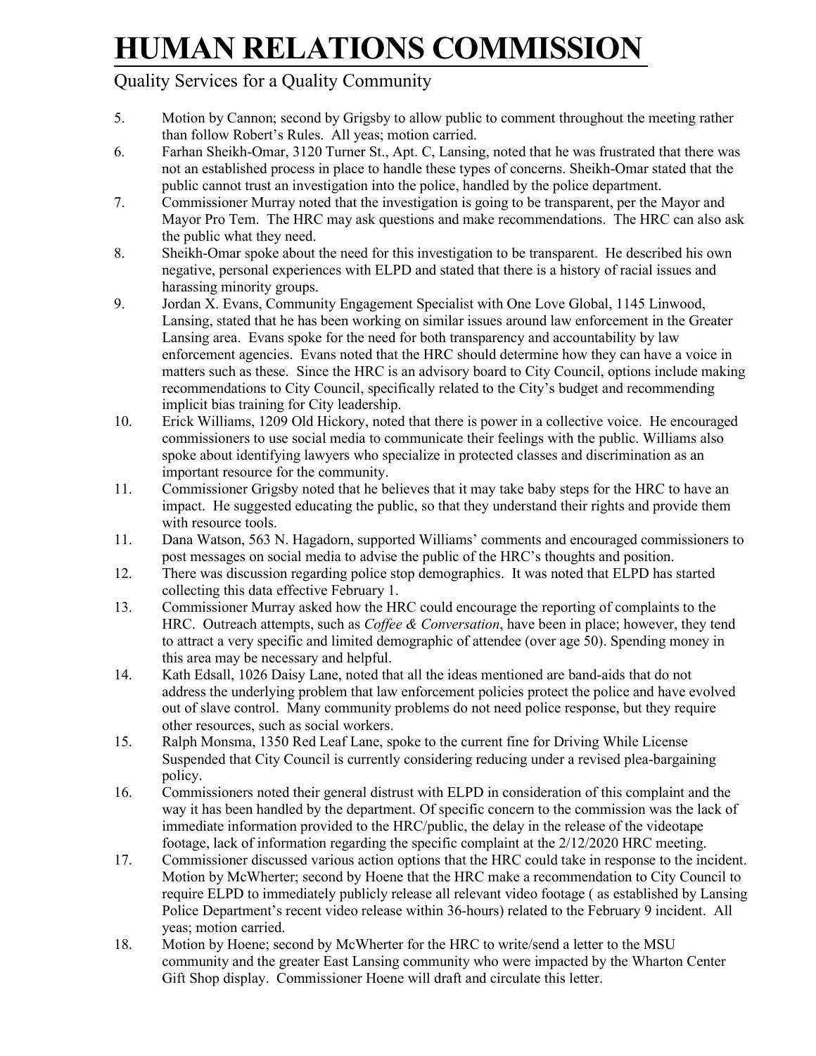### Quality Services for a Quality Community

- 5. Motion by Cannon; second by Grigsby to allow public to comment throughout the meeting rather than follow Robert's Rules. All yeas; motion carried.
- 6. Farhan Sheikh-Omar, 3120 Turner St., Apt. C, Lansing, noted that he was frustrated that there was not an established process in place to handle these types of concerns. Sheikh-Omar stated that the public cannot trust an investigation into the police, handled by the police department.
- 7. Commissioner Murray noted that the investigation is going to be transparent, per the Mayor and Mayor Pro Tem. The HRC may ask questions and make recommendations. The HRC can also ask the public what they need.
- 8. Sheikh-Omar spoke about the need for this investigation to be transparent. He described his own negative, personal experiences with ELPD and stated that there is a history of racial issues and harassing minority groups.
- 9. Jordan X. Evans, Community Engagement Specialist with One Love Global, 1145 Linwood, Lansing, stated that he has been working on similar issues around law enforcement in the Greater Lansing area. Evans spoke for the need for both transparency and accountability by law enforcement agencies. Evans noted that the HRC should determine how they can have a voice in matters such as these. Since the HRC is an advisory board to City Council, options include making recommendations to City Council, specifically related to the City's budget and recommending implicit bias training for City leadership.
- 10. Erick Williams, 1209 Old Hickory, noted that there is power in a collective voice. He encouraged commissioners to use social media to communicate their feelings with the public. Williams also spoke about identifying lawyers who specialize in protected classes and discrimination as an important resource for the community.
- 11. Commissioner Grigsby noted that he believes that it may take baby steps for the HRC to have an impact. He suggested educating the public, so that they understand their rights and provide them with resource tools.
- 11. Dana Watson, 563 N. Hagadorn, supported Williams' comments and encouraged commissioners to post messages on social media to advise the public of the HRC's thoughts and position.
- 12. There was discussion regarding police stop demographics. It was noted that ELPD has started collecting this data effective February 1.
- 13. Commissioner Murray asked how the HRC could encourage the reporting of complaints to the HRC. Outreach attempts, such as *Coffee & Conversation*, have been in place; however, they tend to attract a very specific and limited demographic of attendee (over age 50). Spending money in this area may be necessary and helpful.
- 14. Kath Edsall, 1026 Daisy Lane, noted that all the ideas mentioned are band-aids that do not address the underlying problem that law enforcement policies protect the police and have evolved out of slave control. Many community problems do not need police response, but they require other resources, such as social workers.
- 15. Ralph Monsma, 1350 Red Leaf Lane, spoke to the current fine for Driving While License Suspended that City Council is currently considering reducing under a revised plea-bargaining policy.
- 16. Commissioners noted their general distrust with ELPD in consideration of this complaint and the way it has been handled by the department. Of specific concern to the commission was the lack of immediate information provided to the HRC/public, the delay in the release of the videotape footage, lack of information regarding the specific complaint at the 2/12/2020 HRC meeting.
- 17. Commissioner discussed various action options that the HRC could take in response to the incident. Motion by McWherter; second by Hoene that the HRC make a recommendation to City Council to require ELPD to immediately publicly release all relevant video footage ( as established by Lansing Police Department's recent video release within 36-hours) related to the February 9 incident. All yeas; motion carried.
- 18. Motion by Hoene; second by McWherter for the HRC to write/send a letter to the MSU community and the greater East Lansing community who were impacted by the Wharton Center Gift Shop display. Commissioner Hoene will draft and circulate this letter.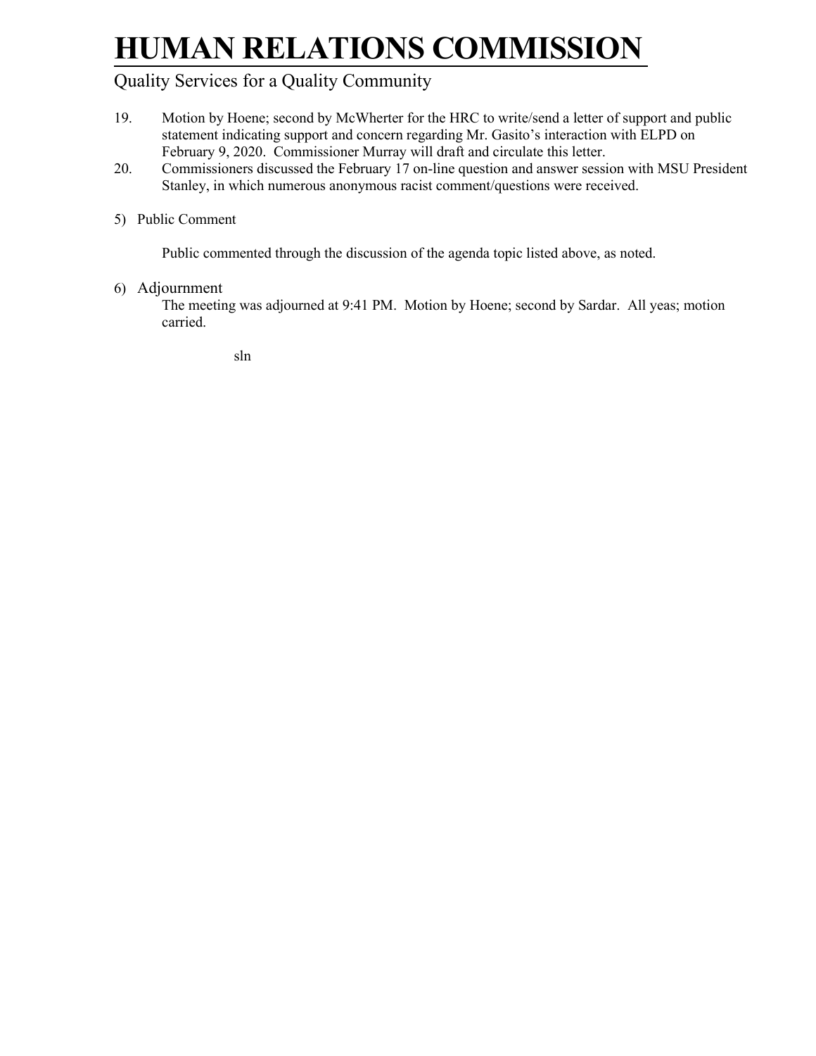### Quality Services for a Quality Community

- 19. Motion by Hoene; second by McWherter for the HRC to write/send a letter of support and public statement indicating support and concern regarding Mr. Gasito's interaction with ELPD on February 9, 2020. Commissioner Murray will draft and circulate this letter.
- 20. Commissioners discussed the February 17 on-line question and answer session with MSU President Stanley, in which numerous anonymous racist comment/questions were received.

### 5) Public Comment

Public commented through the discussion of the agenda topic listed above, as noted.

#### 6) Adjournment

The meeting was adjourned at 9:41 PM. Motion by Hoene; second by Sardar. All yeas; motion carried.

sln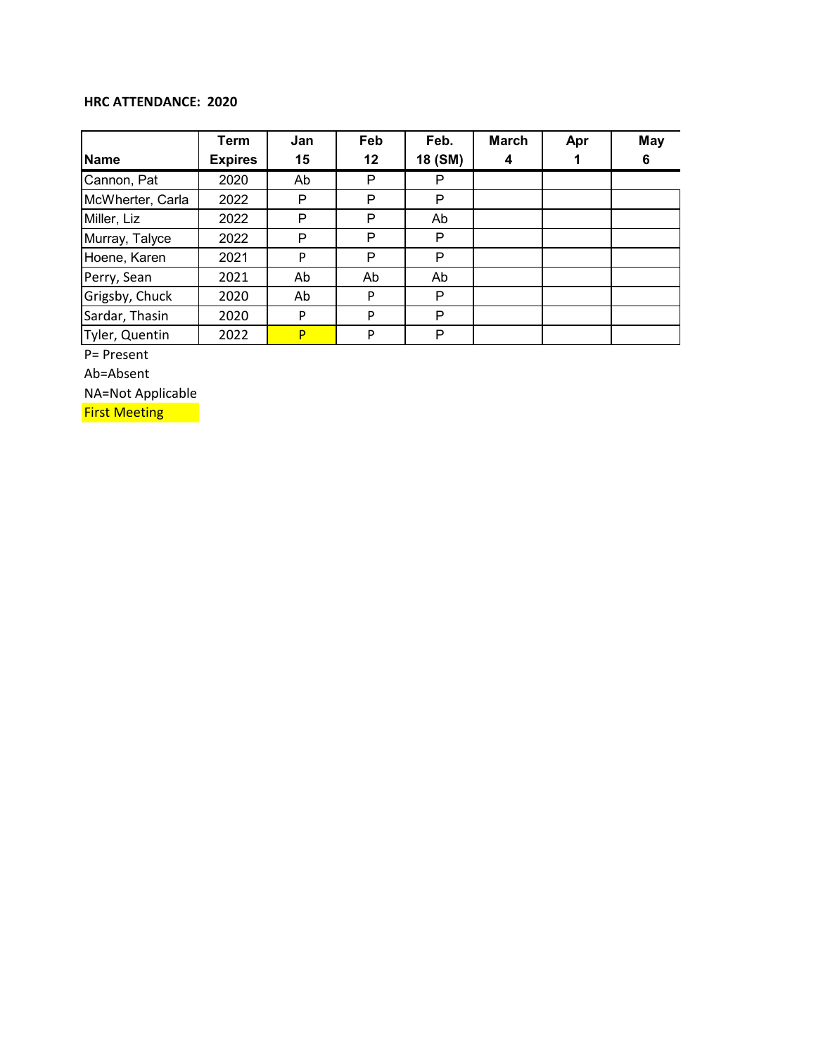#### **HRC ATTENDANCE: 2020**

|                  | Term           | Jan | Feb | Feb.    | <b>March</b> | Apr | <b>May</b> |
|------------------|----------------|-----|-----|---------|--------------|-----|------------|
| <b>Name</b>      | <b>Expires</b> | 15  | 12  | 18 (SM) |              |     | 6          |
| Cannon, Pat      | 2020           | Ab  | P   | P       |              |     |            |
| McWherter, Carla | 2022           | P   | P   | P       |              |     |            |
| Miller, Liz      | 2022           | P   | P   | Ab      |              |     |            |
| Murray, Talyce   | 2022           | P   | P   | P       |              |     |            |
| Hoene, Karen     | 2021           | P   | P   | P       |              |     |            |
| Perry, Sean      | 2021           | Ab  | Ab  | Ab      |              |     |            |
| Grigsby, Chuck   | 2020           | Ab  | P   | P       |              |     |            |
| Sardar, Thasin   | 2020           | P   | P   | P       |              |     |            |
| Tyler, Quentin   | 2022           | P   | P   | P       |              |     |            |

P= Present

Ab=Absent

NA=Not Applicable

**First Meeting**